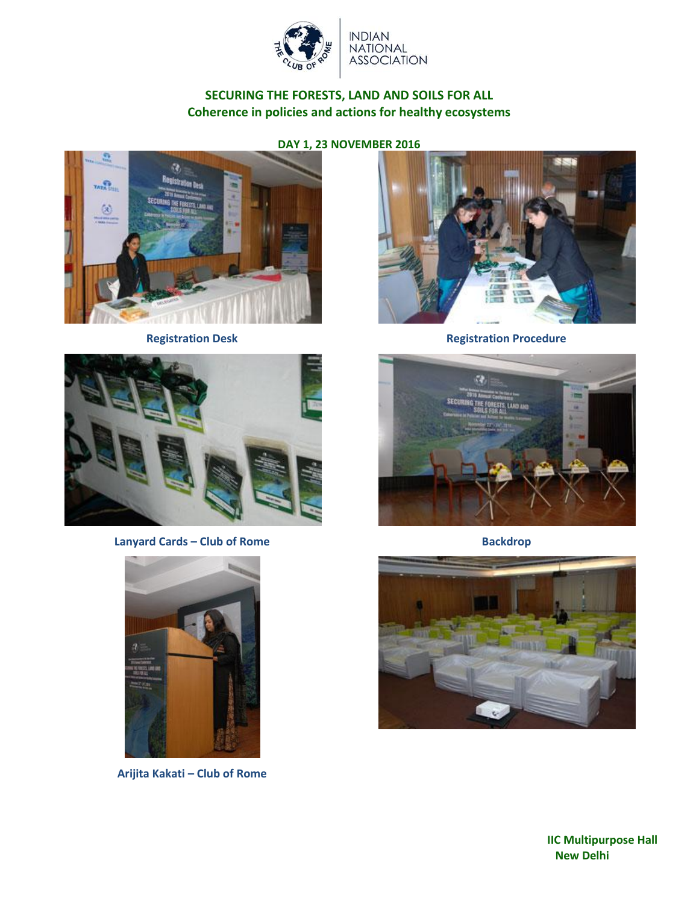

INDIAN<br>NATIONAL<br>ASSOCIATION

# **SECURING THE FORESTS, LAND AND SOILS FOR ALL Coherence in policies and actions for healthy ecosystems**





**Lanyard Cards – Club of Rome Backdrop**



**Arijita Kakati – Club of Rome**



**Registration Desk Registration Procedure** 





**IIC Multipurpose Hall New Delhi**

**DAY 1, 23 NOVEMBER 2016**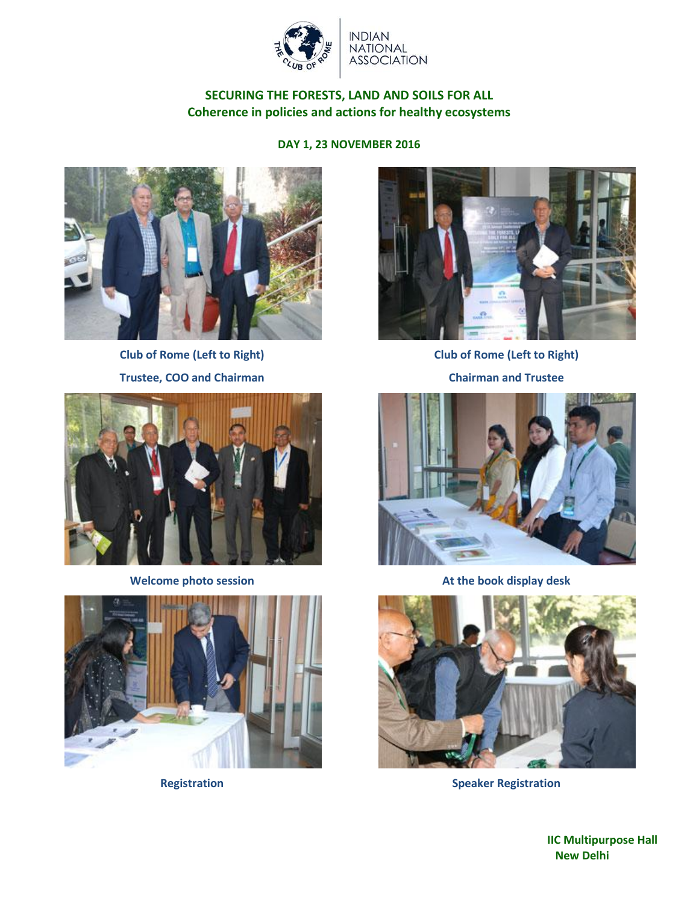

**INDIAN** NATIONAL<br>ASSOCIATION

# **SECURING THE FORESTS, LAND AND SOILS FOR ALL Coherence in policies and actions for healthy ecosystems**

**DAY 1, 23 NOVEMBER 2016**



**Club of Rome (Left to Right)**







**Club of Rome (Left to Right) Chairman and Trustee**



**Welcome photo session At the book display desk**



**Registration Speaker Registration**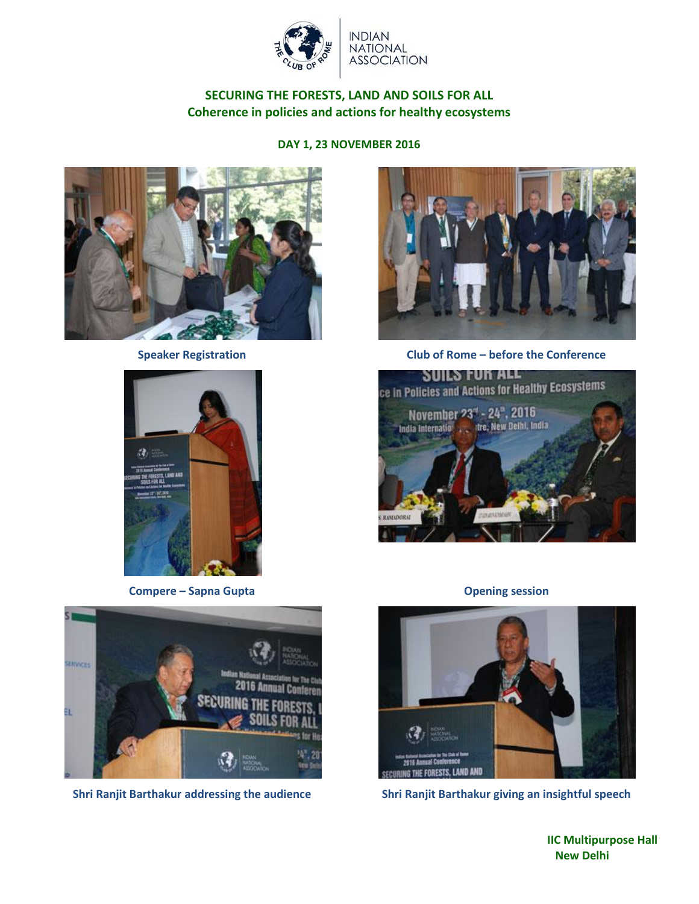

# **INDIAN** NATIONAL<br>ASSOCIATION

## **SECURING THE FORESTS, LAND AND SOILS FOR ALL Coherence in policies and actions for healthy ecosystems**

**DAY 1, 23 NOVEMBER 2016**





**Compere – Sapna Gupta Compere – Sapna Gupta Opening session** 





**Speaker Registration Club of Rome – before the Conference**





**Shri Ranjit Barthakur addressing the audience Shri Ranjit Barthakur giving an insightful speech**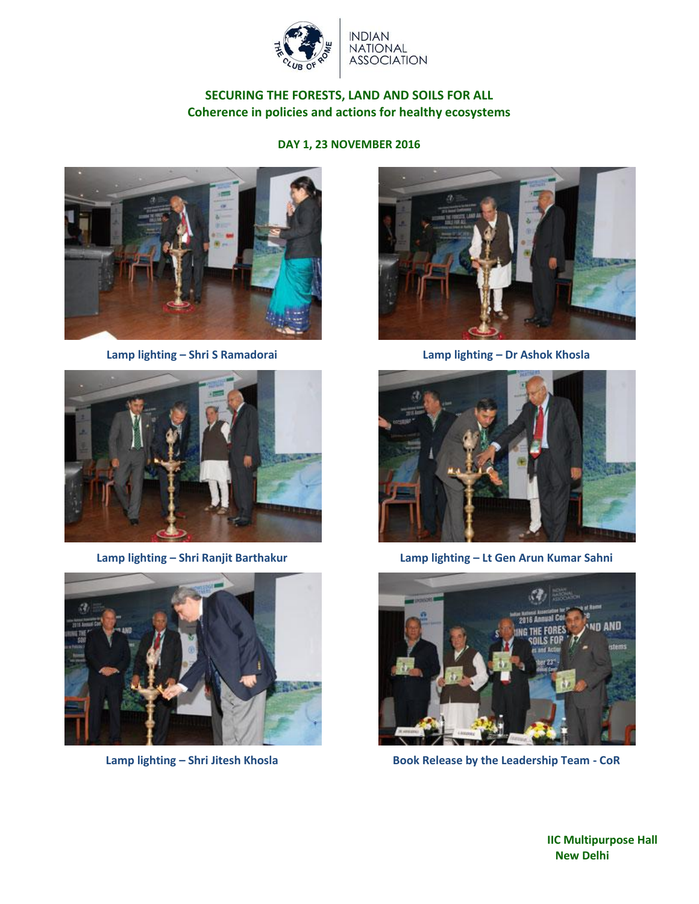

# **NDIAN** NATIONAL<br>ASSOCIATION

# **SECURING THE FORESTS, LAND AND SOILS FOR ALL Coherence in policies and actions for healthy ecosystems**

#### **DAY 1, 23 NOVEMBER 2016**



**Lamp lighting – Shri S Ramadorai Lamp lighting – Dr Ashok Khosla**









**Lamp lighting – Shri Ranjit Barthakur Lamp lighting – Lt Gen Arun Kumar Sahni**



**Lamp lighting – Shri Jitesh Khosla Book Release by the Leadership Team - CoR**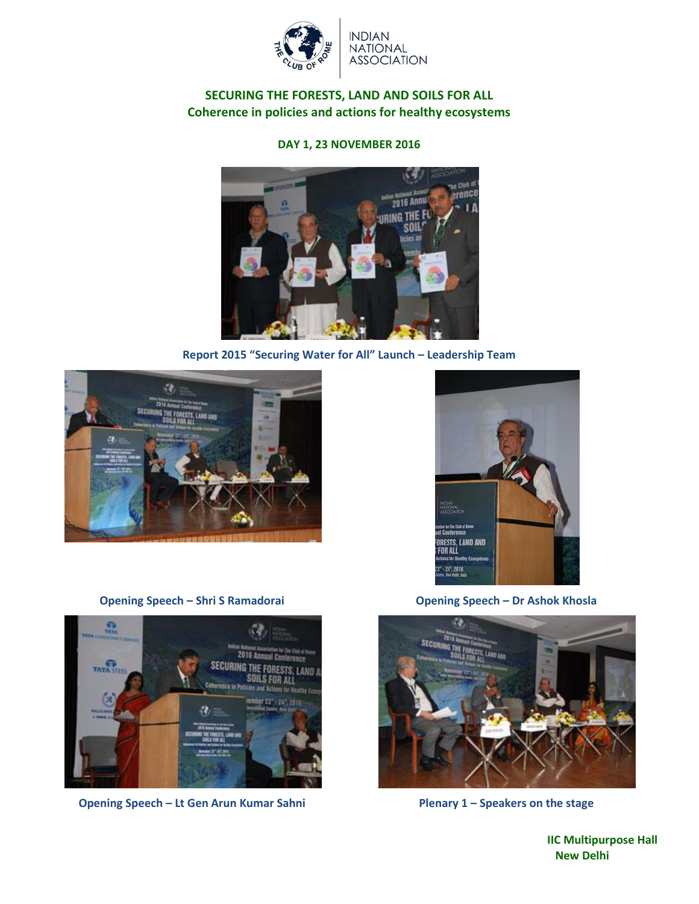

## **SECURING THE FORESTS, LAND AND SOILS FOR ALL Coherence in policies and actions for healthy ecosystems**

**DAY 1, 23 NOVEMBER 2016**



**Report 2015 "Securing Water for All" Launch – Leadership Team**





**Opening Speech – Shri S Ramadorai Opening Speech – Dr Ashok Khosla**





**Opening Speech – Lt Gen Arun Kumar Sahni Plenary 1 – Speakers on the stage**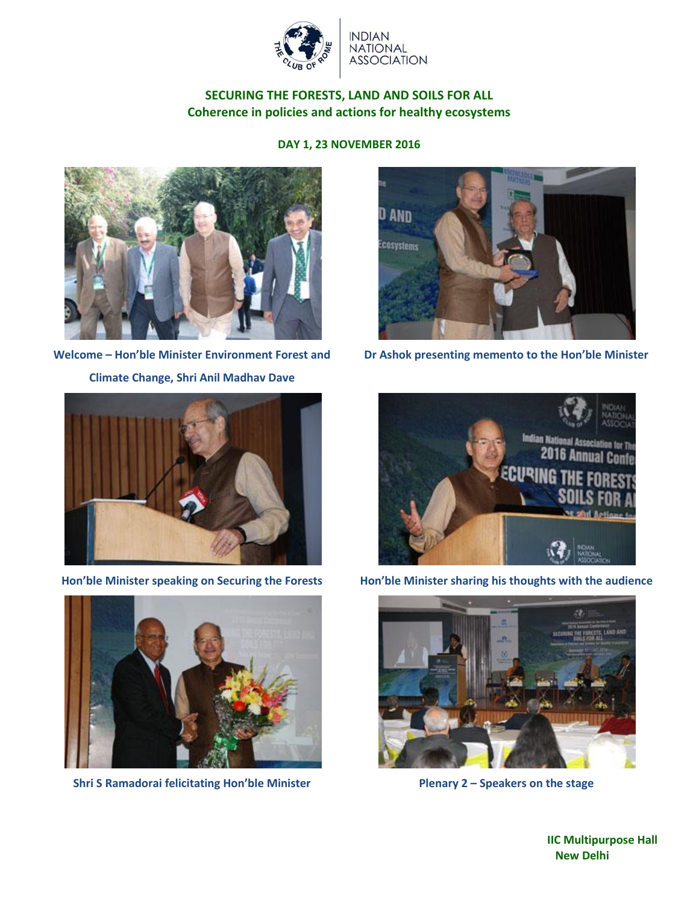

## **SECURING THE FORESTS, LAND AND SOILS FOR ALL Coherence in policies and actions for healthy ecosystems**

#### **DAY 1, 23 NOVEMBER 2016**



**Welcome – Hon'ble Minister Environment Forest and** 

**Climate Change, Shri Anil Madhav Dave**





**Shri S Ramadorai felicitating Hon'ble Minister Plenary 2 – Speakers on the stage**



**Dr Ashok presenting memento to the Hon'ble Minister**



**Hon'ble Minister speaking on Securing the Forests Hon'ble Minister sharing his thoughts with the audience**